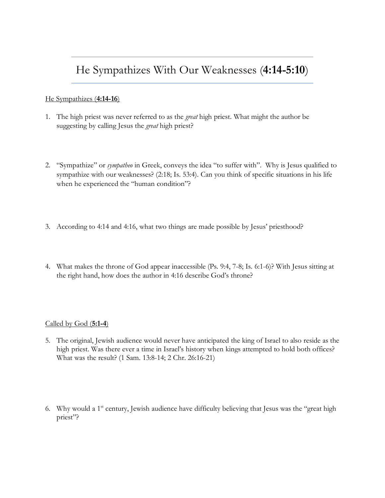## He Sympathizes With Our Weaknesses (**4:14-5:10**)

## He Sympathizes (**4:14-16**)

- 1. The high priest was never referred to as the *great* high priest. What might the author be suggesting by calling Jesus the *great* high priest?
- 2. "Sympathize" or *sympatheo* in Greek, conveys the idea "to suffer with". Why is Jesus qualified to sympathize with our weaknesses? (2:18; Is. 53:4). Can you think of specific situations in his life when he experienced the "human condition"?
- 3. According to 4:14 and 4:16, what two things are made possible by Jesus' priesthood?
- 4. What makes the throne of God appear inaccessible (Ps. 9:4, 7-8; Is. 6:1-6)? With Jesus sitting at the right hand, how does the author in 4:16 describe God's throne?

## Called by God (**5:1-4**)

- 5. The original, Jewish audience would never have anticipated the king of Israel to also reside as the high priest. Was there ever a time in Israel's history when kings attempted to hold both offices? What was the result? (1 Sam. 13:8-14; 2 Chr. 26:16-21)
- 6. Why would a 1st century, Jewish audience have difficulty believing that Jesus was the "great high priest"?